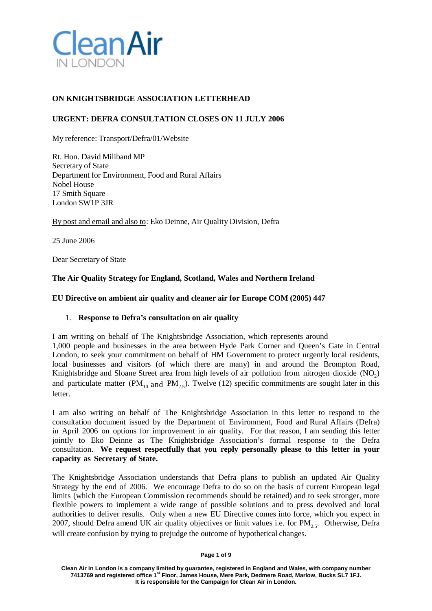

# **ON KNIGHTSBRIDGE ASSOCIATION LETTERHEAD**

# **URGENT: DEFRA CONSULTATION CLOSES ON 11 JULY 2006**

My reference: Transport/Defra/01/Website

Rt. Hon. David Miliband MP Secretary of State Department for Environment, Food and Rural Affairs Nobel House 17 Smith Square London SW1P 3JR

By post and email and also to: Eko Deinne, Air Quality Division, Defra

25 June 2006

Dear Secretary of State

## **The Air Quality Strategy for England, Scotland, Wales and Northern Ireland**

## **EU Directive on ambient air quality and cleaner air for Europe COM (2005) 447**

### 1. **Response to Defra's consultation on air quality**

I am writing on behalf of The Knightsbridge Association, which represents around 1,000 people and businesses in the area between Hyde Park Corner and Queen's Gate in Central London, to seek your commitment on behalf of HM Government to protect urgently local residents, local businesses and visitors (of which there are many) in and around the Brompton Road, Knightsbridge and Sloane Street area from high levels of air pollution from nitrogen dioxide  $(NO<sub>2</sub>)$ and particulate matter ( $PM_{10}$  and  $PM_{2.5}$ ). Twelve (12) specific commitments are sought later in this letter.

I am also writing on behalf of The Knightsbridge Association in this letter to respond to the consultation document issued by the Department of Environment, Food and Rural Affairs (Defra) in April 2006 on options for improvement in air quality. For that reason, I am sending this letter jointly to Eko Deinne as The Knightsbridge Association's formal response to the Defra consultation. **We request respectfully that you reply personally please to this letter in your capacity as Secretary of State.**

The Knightsbridge Association understands that Defra plans to publish an updated Air Quality Strategy by the end of 2006. We encourage Defra to do so on the basis of current European legal limits (which the European Commission recommends should be retained) and to seek stronger, more flexible powers to implement a wide range of possible solutions and to press devolved and local authorities to deliver results. Only when a new EU Directive comes into force, which you expect in 2007, should Defra amend UK air quality objectives or limit values i.e. for  $PM_{2.5}$ . Otherwise, Defra will create confusion by trying to prejudge the outcome of hypothetical changes.

#### **Page 1 of 9**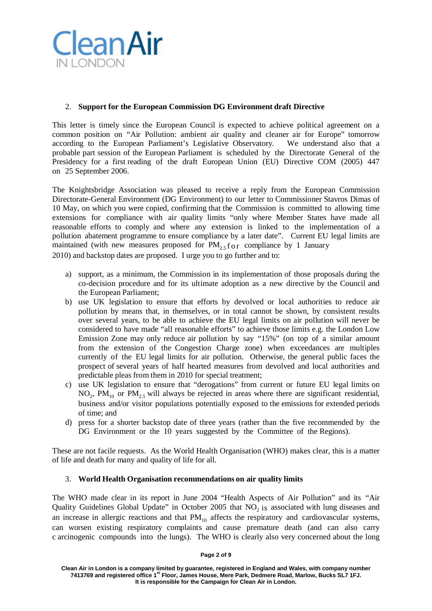

## 2. **Support for the European Commission DG Environment draft Directive**

This letter is timely since the European Council is expected to achieve political agreement on a common position on "Air Pollution: ambient air quality and cleaner air for Europe" tomorrow according to the European Parliament's Legislative Observatory. We understand also that a probable part session of the European Parliament is scheduled by the Directorate General of the Presidency for a first reading of the draft European Union (EU) Directive COM (2005) 447 on 25 September 2006.

The Knightsbridge Association was pleased to receive a reply from the European Commission Directorate-General Environment (DG Environment) to our letter to Commissioner Stavros Dimas of 10 May, on which you were copied, confirming that the Commission is committed to allowing time extensions for compliance with air quality limits "only where Member States have made all reasonable efforts to comply and where any extension is linked to the implementation of a pollution abatement programme to ensure compliance by a later date". Current EU legal limits are maintained (with new measures proposed for  $PM_{2.5}$  for compliance by 1 January 2010) and backstop dates are proposed. I urge you to go further and to:

a) support, as a minimum, the Commission in its implementation of those proposals during the co-decision procedure and for its ultimate adoption as a new directive by the Council and the European Parliament;

- b) use UK legislation to ensure that efforts by devolved or local authorities to reduce air pollution by means that, in themselves, or in total cannot be shown, by consistent results over several years, to be able to achieve the EU legal limits on air pollution will never be considered to have made "all reasonable efforts" to achieve those limits e.g. the London Low Emission Zone may only reduce air pollution by say "15%" (on top of a similar amount from the extension of the Congestion Charge zone) when exceedances are multiples currently of the EU legal limits for air pollution. Otherwise, the general public faces the prospect of several years of half hearted measures from devolved and local authorities and predictable pleas from them in 2010 for special treatment;
- c) use UK legislation to ensure that "derogations" from current or future EU legal limits on  $NO<sub>2</sub>$ ,  $PM<sub>10</sub>$  or  $PM<sub>25</sub>$  will always be rejected in areas where there are significant residential, business and/or visitor populations potentially exposed to the emissions for extended periods of time; and
- d) press for a shorter backstop date of three years (rather than the five recommended by the DG Environment or the 10 years suggested by the Committee of the Regions).

These are not facile requests. As the World Health Organisation (WHO) makes clear, this is a matter of life and death for many and quality of life for all.

### 3. **World Health Organisation recommendations on air quality limits**

The WHO made clear in its report in June 2004 "Health Aspects of Air Pollution" and its "Air Quality Guidelines Global Update" in October 2005 that  $NO<sub>2</sub>$  is associated with lung diseases and an increase in allergic reactions and that  $PM_{10}$  affects the respiratory and cardiovascular systems, can worsen existing respiratory complaints and cause premature death (and can also carry c arcinogenic compounds into the lungs). The WHO is clearly also very concerned about the long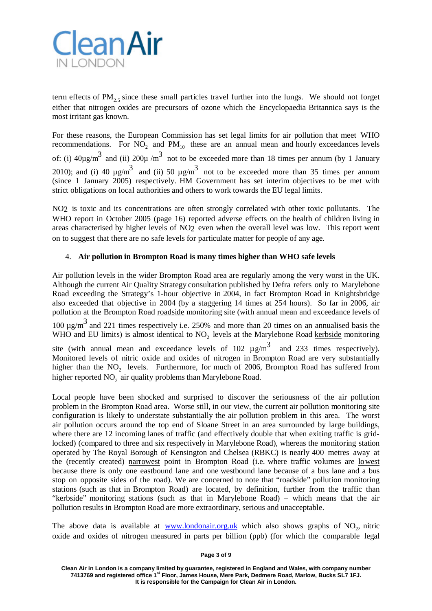

term effects of  $PM_2$ , since these small particles travel further into the lungs. We should not forget either that nitrogen oxides are precursors of ozone which the Encyclopaedia Britannica says is the most irritant gas known.

For these reasons, the European Commission has set legal limits for air pollution that meet WHO recommendations. For  $NO_2$  and  $PM_{10}$  these are an annual mean and hourly exceedances levels of: (i)  $40\mu g/m^3$  and (ii)  $200\mu/m^3$  not to be exceeded more than 18 times per annum (by 1 January 2010); and (i) 40  $\mu$  g/m<sup>3</sup> and (ii) 50  $\mu$  g/m<sup>3</sup> not to be exceeded more than 35 times per annum (since 1 January 2005) respectively. HM Government has set interim objectives to be met with strict obligations on local authorities and others to work towards the EU legal limits.

NO2 is toxic and its concentrations are often strongly correlated with other toxic pollutants. The WHO report in October 2005 (page 16) reported adverse effects on the health of children living in areas characterised by higher levels of NO2 even when the overall level was low. This report went on to suggest that there are no safe levels for particulate matter for people of any age.

## 4. **Air pollution in Brompton Road is many times higher than WHO safe levels**

Air pollution levels in the wider Brompton Road area are regularly among the very worst in the UK. Although the current Air Quality Strategy consultation published by Defra refers only to Marylebone Road exceeding the Strategy's 1-hour objective in 2004, in fact Brompton Road in Knightsbridge also exceeded that objective in 2004 (by a staggering 14 times at 254 hours). So far in 2006, air pollution at the Brompton Road roadside monitoring site (with annual mean and exceedance levels of 100  $\mu$ g/m<sup>3</sup> and 221 times respectively i.e. 250% and more than 20 times on an annualised basis the WHO and EU limits) is almost identical to NO<sub>2</sub> levels at the Marylebone Road kerbside monitoring site (with annual mean and exceedance levels of 102  $\mu$  g/m<sup>3</sup> and 233 times respectively).

Monitored levels of nitric oxide and oxides of nitrogen in Brompton Road are very substantially higher than the NO<sub>2</sub> levels. Furthermore, for much of 2006, Brompton Road has suffered from higher reported NO<sub>2</sub> air quality problems than Marylebone Road.

Local people have been shocked and surprised to discover the seriousness of the air pollution problem in the Brompton Road area. Worse still, in our view, the current air pollution monitoring site configuration is likely to understate substantially the air pollution problem in this area. The worst air pollution occurs around the top end of Sloane Street in an area surrounded by large buildings, where there are 12 incoming lanes of traffic (and effectively double that when exiting traffic is gridlocked) (compared to three and six respectively in Marylebone Road), whereas the monitoring station operated by The Royal Borough of Kensington and Chelsea (RBKC) is nearly 400 metres away at the (recently created) narrowest point in Brompton Road (i.e. where traffic volumes are lowest because there is only one eastbound lane and one westbound lane because of a bus lane and a bus stop on opposite sides of the road). We are concerned to note that "roadside" pollution monitoring stations (such as that in Brompton Road) are located, by definition, further from the traffic than "kerbside" monitoring stations (such as that in Marylebone Road) – which means that the air pollution results in Brompton Road are more extraordinary, serious and unacceptable.

The above data is available at [www.londonair.org.uk](http://www.londonair.org.uk/) which also shows graphs of  $NO<sub>2</sub>$ , nitric oxide and oxides of nitrogen measured in parts per billion (ppb) (for which the comparable legal

**Page 3 of 9**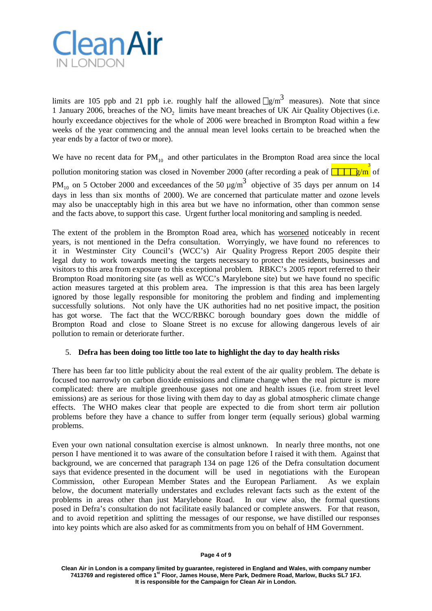

limits are 105 ppb and 21 ppb i.e. roughly half the allowed  $\sqrt{g/m^3}$  measures). Note that since 1 January 2006, breaches of the NO<sub>2</sub> limits have meant breaches of UK Air Quality Objectives (i.e. hourly exceedance objectives for the whole of 2006 were breached in Brompton Road within a few weeks of the year commencing and the annual mean level looks certain to be breached when the year ends by a factor of two or more).

We have no recent data for  $PM_{10}$  and other particulates in the Brompton Road area since the local pollution monitoring station was closed in November 2000 (after recording a peak of **FIFE**/m<sup>3</sup> of PM<sub>10</sub> on 5 October 2000 and exceedances of the 50  $\mu$ g/m<sup>3</sup> objective of 35 days per annum on 14 days in less than six months of 2000). We are concerned that particulate matter and ozone levels may also be unacceptably high in this area but we have no information, other than common sense and the facts above, to support this case. Urgent further local monitoring and sampling is needed.

The extent of the problem in the Brompton Road area, which has worsened noticeably in recent years, is not mentioned in the Defra consultation. Worryingly, we have found no references to it in Westminster City Council's (WCC's) Air Quality Progress Report 2005 despite their legal duty to work towards meeting the targets necessary to protect the residents, businesses and visitors to this area from exposure to this exceptional problem. RBKC's 2005 report referred to their Brompton Road monitoring site (as well as WCC's Marylebone site) but we have found no specific action measures targeted at this problem area. The impression is that this area has been largely ignored by those legally responsible for monitoring the problem and finding and implementing successfully solutions. Not only have the UK authorities had no net positive impact, the position has got worse. The fact that the WCC/RBKC borough boundary goes down the middle of Brompton Road and close to Sloane Street is no excuse for allowing dangerous levels of air pollution to remain or deteriorate further.

### 5. **Defra has been doing too little too late to highlight the day to day health risks**

There has been far too little publicity about the real extent of the air quality problem. The debate is focused too narrowly on carbon dioxide emissions and climate change when the real picture is more complicated: there are multiple greenhouse gases not one and health issues (i.e. from street level emissions) are as serious for those living with them day to day as global atmospheric climate change effects. The WHO makes clear that people are expected to die from short term air pollution problems before they have a chance to suffer from longer term (equally serious) global warming problems.

Even your own national consultation exercise is almost unknown. In nearly three months, not one person I have mentioned it to was aware of the consultation before I raised it with them. Against that background, we are concerned that paragraph 134 on page 126 of the Defra consultation document says that evidence presented in the document will be used in negotiations with the European Commission, other European Member States and the European Parliament. As we explain below, the document materially understates and excludes relevant facts such as the extent of the problems in areas other than just Marylebone Road. In our view also, the formal questions posed in Defra's consultation do not facilitate easily balanced or complete answers. For that reason, and to avoid repetition and splitting the messages of our response, we have distilled our responses into key points which are also asked for as commitments from you on behalf of HM Government.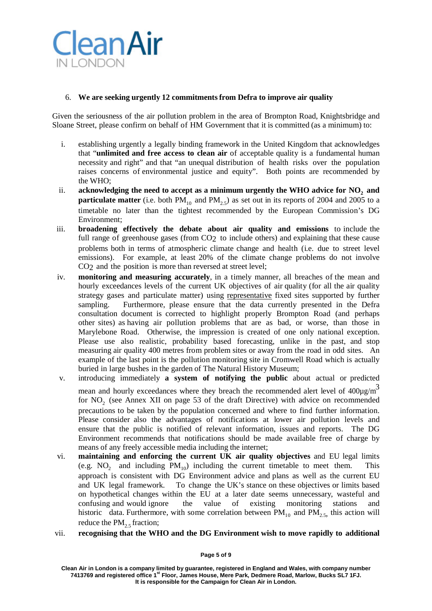

## 6. **We are seeking urgently 12 commitmentsfrom Defra to improve air quality**

Given the seriousness of the air pollution problem in the area of Brompton Road, Knightsbridge and Sloane Street, please confirm on behalf of HM Government that it is committed (as a minimum) to:

- i. establishing urgently a legally binding framework in the United Kingdom that acknowledges that "**unlimited and free access to clean air** of acceptable quality is a fundamental human necessity and right" and that "an unequal distribution of health risks over the population raises concerns of environmental justice and equity". Both points are recommended by the WHO;
- ii. **acknowledging the need to accept as a minimum urgently the WHO advice for NO<sub>2</sub> and particulate matter** (i.e. both  $PM_{10}$  and  $PM_{25}$ ) as set out in its reports of 2004 and 2005 to a timetable no later than the tightest recommended by the European Commission's DG Environment;
- iii. **broadening effectively the debate about air quality and emissions** to include the full range of greenhouse gases (from  $CO<sub>2</sub>$  to include others) and explaining that these cause problems both in terms of atmospheric climate change and health (i.e. due to street level emissions). For example, at least 20% of the climate change problems do not involve  $CO<sub>2</sub>$  and the position is more than reversed at street level;
- iv. **monitoring and measuring accurately**, in a timely manner, all breaches of the mean and hourly exceedances levels of the current UK objectives of air quality (for all the air quality strategy gases and particulate matter) using representative fixed sites supported by further sampling. Furthermore, please ensure that the data currently presented in the Defra consultation document is corrected to highlight properly Brompton Road (and perhaps other sites) as having air pollution problems that are as bad, or worse, than those in Marylebone Road. Otherwise, the impression is created of one only national exception. Please use also realistic, probability based forecasting, unlike in the past, and stop measuring air quality 400 metres from problem sites or away from the road in odd sites. An example of the last point is the pollution monitoring site in Cromwell Road which is actually buried in large bushes in the garden of The Natural History Museum;
- v. introducing immediately **a system of notifying the public** about actual or predicted mean and hourly exceedances where they breach the recommended alert level of  $400\mu\text{g/m}^3$ for NO<sub>2</sub> (see Annex XII on page 53 of the draft Directive) with advice on recommended precautions to be taken by the population concerned and where to find further information. Please consider also the advantages of notifications at lower air pollution levels and ensure that the public is notified of relevant information, issues and reports. The DG Environment recommends that notifications should be made available free of charge by means of any freely accessible media including the internet;
- vi. **maintaining and enforcing the current UK air quality objectives** and EU legal limits (e.g. NO<sub>2</sub> and including  $PM_{10}$ ) including the current timetable to meet them. This approach is consistent with DG Environment advice and plans as well as the current EU and UK legal framework. To change the UK's stance on these objectives or limits based on hypothetical changes within the EU at a later date seems unnecessary, wasteful and confusing and would ignore the value of existing monitoring stations and historic data. Furthermore, with some correlation between  $PM_{10}$  and  $PM_{2.5}$ , this action will reduce the  $PM_{2.5}$  fraction;
- vii. **recognising that the WHO and the DG Environment wish to move rapidly to additional**

**Page 5 of 9**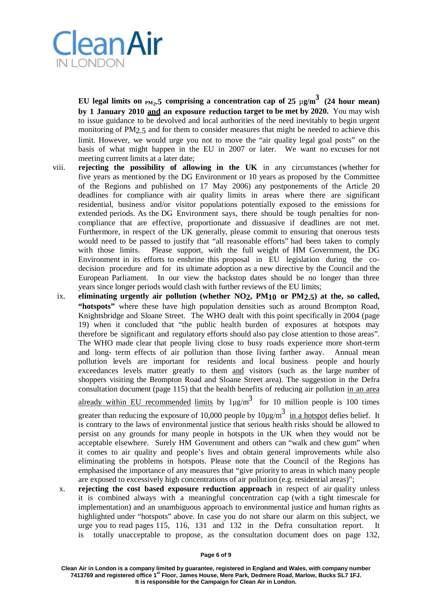

**EU** legal limits on  $_{\text{PM}_2,5}$  comprising a concentration cap of 25  $\mu$ g/m $^3$  (24 hour mean) **by 1 January 2010 and an exposure reduction target to be met by 2020.** You may wish to issue guidance to be devolved and local authorities of the need inevitably to begin urgent monitoring of PM2.5 and for them to consider measures that might be needed to achieve this limit. However, we would urge you not to move the "air quality legal goal posts" on the basis of what might happen in the EU in 2007 or later. We want no excuses for not meeting current limits at a later date;

- viii. **rejecting the possibility of allowing in the UK** in any circumstances (whether for five years as mentioned by the DG Environment or 10 years as proposed by the Committee of the Regions and published on 17 May 2006) any postponements of the Article 20 deadlines for compliance with air quality limits in areas where there are significant residential, business and/or visitor populations potentially exposed to the emissions for extended periods. As the DG Environment says, there should be tough penalties for noncompliance that are effective, proportionate and dissuasive if deadlines are not met. Furthermore, in respect of the UK generally, please commit to ensuring that onerous tests would need to be passed to justify that "all reasonable efforts" had been taken to comply with those limits. Please support, with the full weight of HM Government, the DG Environment in its efforts to enshrine this proposal in EU legislation during the codecision procedure and for its ultimate adoption as a new directive by the Council and the European Parliament. In our view the backstop dates should be no longer than three years since longer periods would clash with further reviews of the EU limits;
	- ix. **eliminating urgently air pollution (whether NO2, PM10 or PM2.5) at the, so called, "hotspots"** where these have high population densities such as around Brompton Road, Knightsbridge and Sloane Street. The WHO dealt with this point specifically in 2004 (page 19) when it concluded that "the public health burden of exposures at hotspots may therefore be significant and regulatory efforts should also pay close attention to those areas". The WHO made clear that people living close to busy roads experience more short-term and long- term effects of air pollution than those living farther away. Annual mean pollution levels are important for residents and local business people and hourly exceedances levels matter greatly to them and visitors (such as the large number of shoppers visiting the Brompton Road and Sloane Street area). The suggestion in the Defra consultation document (page 115) that the health benefits of reducing air pollution in an area

already within EU recommended limits by  $1\mu$ g/m<sup>3</sup> for 10 million people is 100 times

greater than reducing the exposure of 10,000 people by  $10\mu\text{g/m}^3$  in a hotspot defies belief. It is contrary to the laws of environmental justice that serious health risks should be allowed to persist on any grounds for many people in hotspots in the UK when they would not be acceptable elsewhere. Surely HM Government and others can "walk and chew gum" when it comes to air quality and people's lives and obtain general improvements while also eliminating the problems in hotspots. Please note that the Council of the Regions has emphasised the importance of any measures that "give priority to areas in which many people are exposed to excessively high concentrations of air pollution (e.g. residential areas)";

x. **rejecting the cost based exposure reduction approach** in respect of air quality unless it is combined always with a meaningful concentration cap (with a tight timescale for implementation) and an unambiguous approach to environmental justice and human rights as highlighted under "hotspots" above. In case you do not share our alarm on this subject, we urge you to read pages 115, 116, 131 and 132 in the Defra consultation report. It is totally unacceptable to propose, as the consultation document does on page 132,

**Clean Air in London is a company limited by guarantee, registered in England and Wales, with company number 7413769 and registered office 1st Floor, James House, Mere Park, Dedmere Road, Marlow, Bucks SL7 1FJ. It is responsible for the Campaign for Clean Air in London.**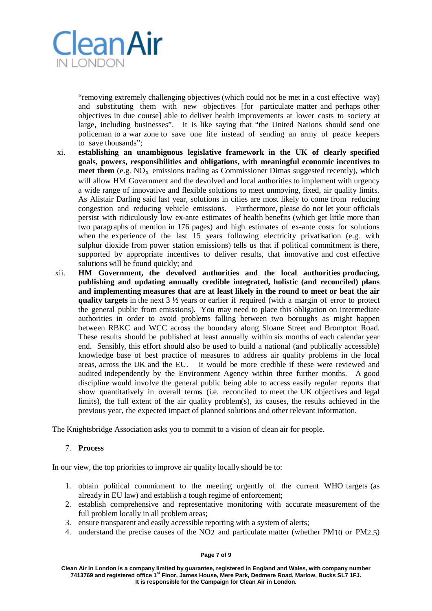

"removing extremely challenging objectives (which could not be met in a cost effective way) and substituting them with new objectives [for particulate matter and perhaps other objectives in due course] able to deliver health improvements at lower costs to society at large, including businesses". It is like saying that "the United Nations should send one policeman to a war zone to save one life instead of sending an army of peace keepers to save thousands";

- xi. **establishing an unambiguous legislative framework in the UK of clearly specified goals, powers, responsibilities and obligations, with meaningful economic incentives to meet them** (e.g. NO<sub>x</sub> emissions trading as Commissioner Dimas suggested recently), which will allow HM Government and the devolved and local authorities to implement with urgency a wide range of innovative and flexible solutions to meet unmoving, fixed, air quality limits. As Alistair Darling said last year, solutions in cities are most likely to come from reducing congestion and reducing vehicle emissions. Furthermore, please do not let your officials persist with ridiculously low ex-ante estimates of health benefits (which get little more than two paragraphs of mention in 176 pages) and high estimates of ex-ante costs for solutions when the experience of the last 15 years following electricity privatisation (e.g. with sulphur dioxide from power station emissions) tells us that if political commitment is there, supported by appropriate incentives to deliver results, that innovative and cost effective solutions will be found quickly; and
- xii. **HM Government, the devolved authorities and the local authorities producing, publishing and updating annually credible integrated, holistic (and reconciled) plans and implementing measures that are at least likely in the round to meet or beat the air quality targets** in the next 3 ½ years or earlier if required (with a margin of error to protect the general public from emissions). You may need to place this obligation on intermediate authorities in order to avoid problems falling between two boroughs as might happen between RBKC and WCC across the boundary along Sloane Street and Brompton Road. These results should be published at least annually within six months of each calendar year end. Sensibly, this effort should also be used to build a national (and publically accessible) knowledge base of best practice of measures to address air quality problems in the local areas, across the UK and the EU. It would be more credible if these were reviewed and audited independently by the Environment Agency within three further months. A good discipline would involve the general public being able to access easily regular reports that show quantitatively in overall terms (i.e. reconciled to meet the UK objectives and legal limits), the full extent of the air quality problem(s), its causes, the results achieved in the previous year, the expected impact of planned solutions and other relevant information.

The Knightsbridge Association asks you to commit to a vision of clean air for people.

### 7. **Process**

In our view, the top priorities to improve air quality locally should be to:

- 1. obtain political commitment to the meeting urgently of the current WHO targets (as already in EU law) and establish a tough regime of enforcement;
- 2. establish comprehensive and representative monitoring with accurate measurement of the full problem locally in all problem areas;
- 3. ensure transparent and easily accessible reporting with a system of alerts;
- 4. understand the precise causes of the NO<sub>2</sub> and particulate matter (whether PM<sub>10</sub> or PM<sub>2.5</sub>)

#### **Page 7 of 9**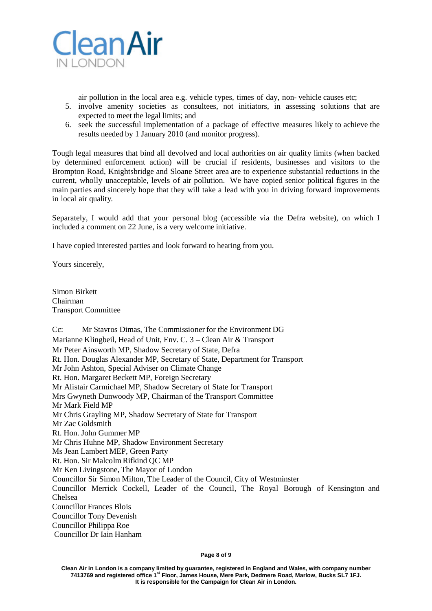

air pollution in the local area e.g. vehicle types, times of day, non- vehicle causes etc;

- 5. involve amenity societies as consultees, not initiators, in assessing solutions that are expected to meet the legal limits; and
- 6. seek the successful implementation of a package of effective measures likely to achieve the results needed by 1 January 2010 (and monitor progress).

Tough legal measures that bind all devolved and local authorities on air quality limits (when backed by determined enforcement action) will be crucial if residents, businesses and visitors to the Brompton Road, Knightsbridge and Sloane Street area are to experience substantial reductions in the current, wholly unacceptable, levels of air pollution. We have copied senior political figures in the main parties and sincerely hope that they will take a lead with you in driving forward improvements in local air quality.

Separately, I would add that your personal blog (accessible via the Defra website), on which I included a comment on 22 June, is a very welcome initiative.

I have copied interested parties and look forward to hearing from you.

Yours sincerely,

Simon Birkett Chairman Transport Committee

Cc: Mr Stavros Dimas, The Commissioner for the Environment DG Marianne Klingbeil, Head of Unit, Env. C. 3 – Clean Air & Transport Mr Peter Ainsworth MP, Shadow Secretary of State, Defra Rt. Hon. Douglas Alexander MP, Secretary of State, Department for Transport Mr John Ashton, Special Adviser on Climate Change Rt. Hon. Margaret Beckett MP, Foreign Secretary Mr Alistair Carmichael MP, Shadow Secretary of State for Transport Mrs Gwyneth Dunwoody MP, Chairman of the Transport Committee Mr Mark Field MP Mr Chris Grayling MP, Shadow Secretary of State for Transport Mr Zac Goldsmith Rt. Hon. John Gummer MP Mr Chris Huhne MP, Shadow Environment Secretary Ms Jean Lambert MEP, Green Party Rt. Hon. Sir Malcolm Rifkind QC MP Mr Ken Livingstone, The Mayor of London Councillor Sir Simon Milton, The Leader of the Council, City of Westminster Councillor Merrick Cockell, Leader of the Council, The Royal Borough of Kensington and Chelsea Councillor Frances Blois Councillor Tony Devenish Councillor Philippa Roe Councillor Dr Iain Hanham

#### **Page 8 of 9**